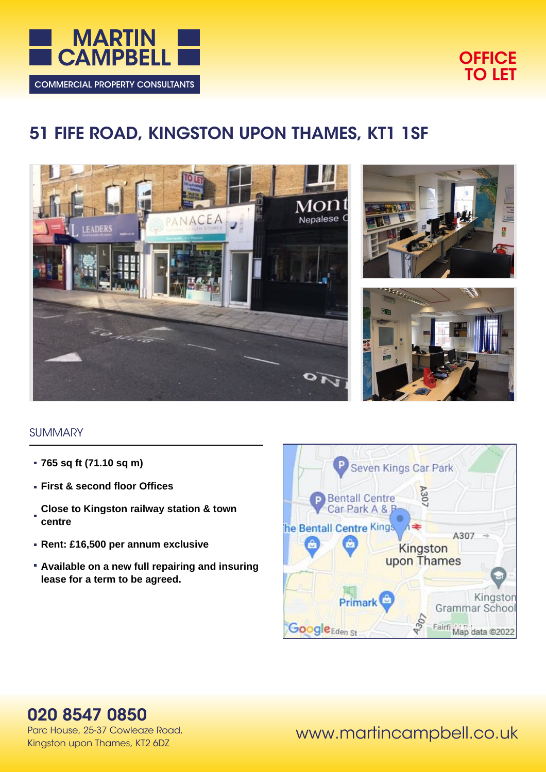



# **51 FIFE ROAD, KINGSTON UPON THAMES, KT1 1SF**







## **SUMMARY**

- **765 sq ft (71.10 sq m)**
- **First & second floor Offices**
- **Close to Kingston railway station & town centre**
- **Rent: £16,500 per annum exclusive**
- **Available on a new full repairing and insuring lease for a term to be agreed.**



## **020 8547 0850**

Parc House, 25-37 Cowleaze Road, Kingston upon Thames, KT2 6DZ

www.martincampbell.co.uk